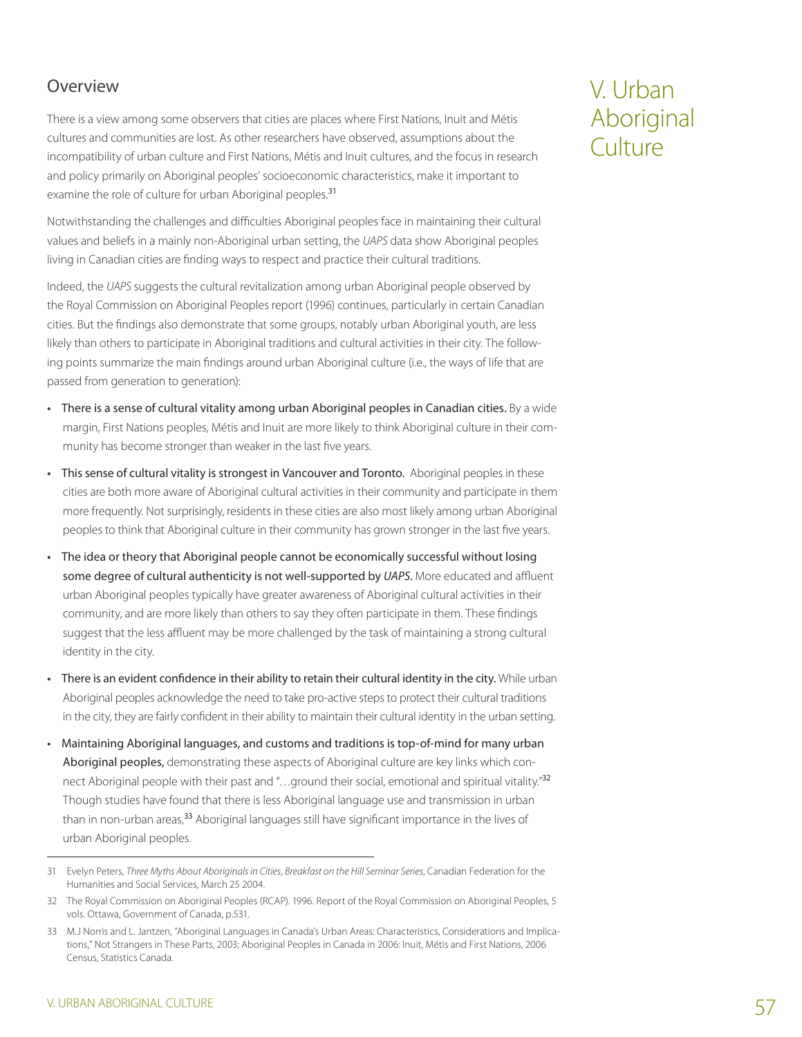## Overview

There is a view among some observers that cities are places where First Nations, Inuit and Métis cultures and communities are lost. As other researchers have observed, assumptions about the incompatibility of urban culture and First Nations, Métis and Inuit cultures, and the focus in research and policy primarily on Aboriginal peoples' socioeconomic characteristics, make it important to examine the role of culture for urban Aboriginal peoples.<sup>31</sup>

Notwithstanding the challenges and difficulties Aboriginal peoples face in maintaining their cultural values and beliefs in a mainly non-Aboriginal urban setting, the *UAPS* data show Aboriginal peoples living in Canadian cities are finding ways to respect and practice their cultural traditions.

Indeed, the *UAPS* suggests the cultural revitalization among urban Aboriginal people observed by the Royal Commission on Aboriginal Peoples report (1996) continues, particularly in certain Canadian cities. But the findings also demonstrate that some groups, notably urban Aboriginal youth, are less likely than others to participate in Aboriginal traditions and cultural activities in their city. The following points summarize the main findings around urban Aboriginal culture (i.e., the ways of life that are passed from generation to generation):

- **•**  There is a sense of cultural vitality among urban Aboriginal peoples in Canadian cities. By a wide margin, First Nations peoples, Métis and Inuit are more likely to think Aboriginal culture in their community has become stronger than weaker in the last five years.
- **•**  This sense of cultural vitality is strongest in Vancouver and Toronto. Aboriginal peoples in these cities are both more aware of Aboriginal cultural activities in their community and participate in them more frequently. Not surprisingly, residents in these cities are also most likely among urban Aboriginal peoples to think that Aboriginal culture in their community has grown stronger in the last five years.
- **•**  The idea or theory that Aboriginal people cannot be economically successful without losing some degree of cultural authenticity is not well-supported by *UAPS*. More educated and affluent urban Aboriginal peoples typically have greater awareness of Aboriginal cultural activities in their community, and are more likely than others to say they often participate in them. These findings suggest that the less affluent may be more challenged by the task of maintaining a strong cultural identity in the city.
- **•**  There is an evident confidence in their ability to retain their cultural identity in the city. While urban Aboriginal peoples acknowledge the need to take pro-active steps to protect their cultural traditions in the city, they are fairly confident in their ability to maintain their cultural identity in the urban setting.
- **•**  Maintaining Aboriginal languages, and customs and traditions is top-of-mind for many urban Aboriginal peoples, demonstrating these aspects of Aboriginal culture are key links which connect Aboriginal people with their past and "...ground their social, emotional and spiritual vitality."<sup>32</sup> Though studies have found that there is less Aboriginal language use and transmission in urban than in non-urban areas,<sup>33</sup> Aboriginal languages still have significant importance in the lives of urban Aboriginal peoples.

# V. Urban Aboriginal Culture

<sup>31</sup> Evelyn Peters, *Three Myths About Aboriginals in Cities*, *Breakfast on the Hill Seminar Series*, Canadian Federation for the Humanities and Social Services, March 25 2004.

<sup>32</sup> The Royal Commission on Aboriginal Peoples (RCAP). 1996. Report of the Royal Commission on Aboriginal Peoples, 5 vols. Ottawa, Government of Canada, p.531.

<sup>33</sup> M.J Norris and L. Jantzen, "Aboriginal Languages in Canada's Urban Areas: Characteristics, Considerations and Implications," Not Strangers in These Parts, 2003; Aboriginal Peoples in Canada in 2006: Inuit, Métis and First Nations, 2006 Census, Statistics Canada.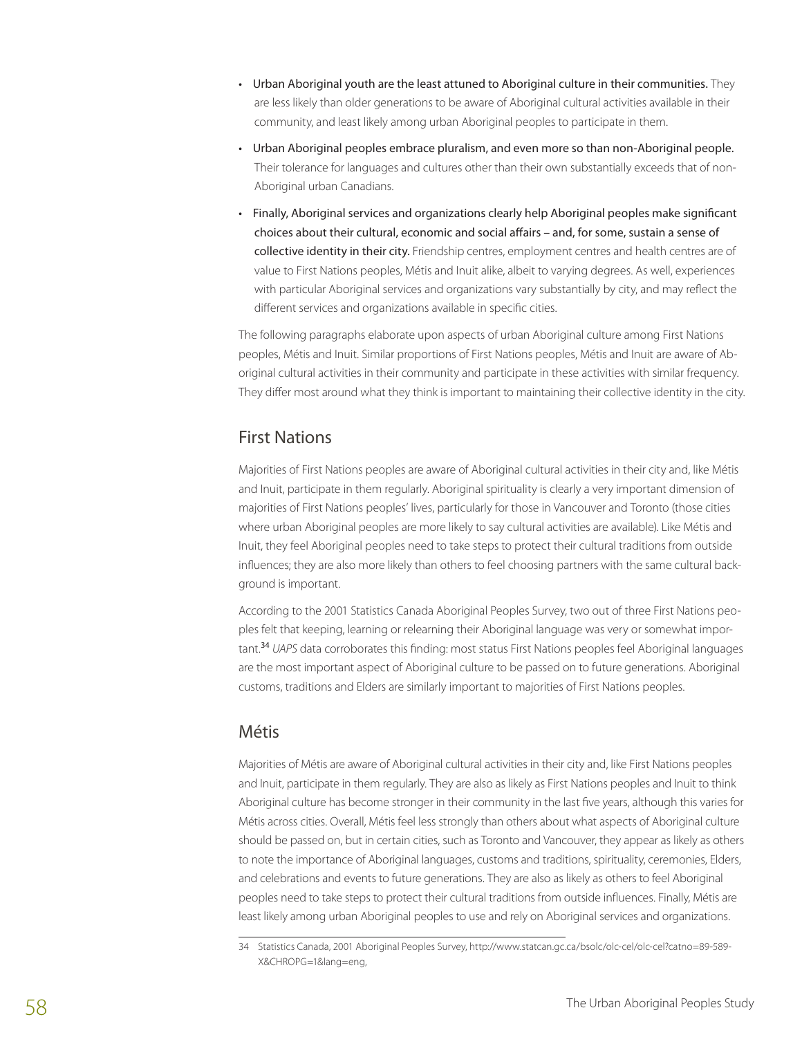- Urban Aboriginal youth are the least attuned to Aboriginal culture in their communities. They are less likely than older generations to be aware of Aboriginal cultural activities available in their community, and least likely among urban Aboriginal peoples to participate in them.
- Urban Aboriginal peoples embrace pluralism, and even more so than non-Aboriginal people. Their tolerance for languages and cultures other than their own substantially exceeds that of non-Aboriginal urban Canadians.
- Finally, Aboriginal services and organizations clearly help Aboriginal peoples make significant choices about their cultural, economic and social affairs – and, for some, sustain a sense of collective identity in their city. Friendship centres, employment centres and health centres are of value to First Nations peoples, Métis and Inuit alike, albeit to varying degrees. As well, experiences with particular Aboriginal services and organizations vary substantially by city, and may reflect the different services and organizations available in specific cities.

The following paragraphs elaborate upon aspects of urban Aboriginal culture among First Nations peoples, Métis and Inuit. Similar proportions of First Nations peoples, Métis and Inuit are aware of Aboriginal cultural activities in their community and participate in these activities with similar frequency. They differ most around what they think is important to maintaining their collective identity in the city.

### First Nations

Majorities of First Nations peoples are aware of Aboriginal cultural activities in their city and, like Métis and Inuit, participate in them regularly. Aboriginal spirituality is clearly a very important dimension of majorities of First Nations peoples' lives, particularly for those in Vancouver and Toronto (those cities where urban Aboriginal peoples are more likely to say cultural activities are available). Like Métis and Inuit, they feel Aboriginal peoples need to take steps to protect their cultural traditions from outside influences; they are also more likely than others to feel choosing partners with the same cultural background is important.

According to the 2001 Statistics Canada Aboriginal Peoples Survey, two out of three First Nations peoples felt that keeping, learning or relearning their Aboriginal language was very or somewhat important.<sup>34</sup> *UAPS* data corroborates this finding: most status First Nations peoples feel Aboriginal languages are the most important aspect of Aboriginal culture to be passed on to future generations. Aboriginal customs, traditions and Elders are similarly important to majorities of First Nations peoples.

### Métis

Majorities of Métis are aware of Aboriginal cultural activities in their city and, like First Nations peoples and Inuit, participate in them regularly. They are also as likely as First Nations peoples and Inuit to think Aboriginal culture has become stronger in their community in the last five years, although this varies for Métis across cities. Overall, Métis feel less strongly than others about what aspects of Aboriginal culture should be passed on, but in certain cities, such as Toronto and Vancouver, they appear as likely as others to note the importance of Aboriginal languages, customs and traditions, spirituality, ceremonies, Elders, and celebrations and events to future generations. They are also as likely as others to feel Aboriginal peoples need to take steps to protect their cultural traditions from outside influences. Finally, Métis are least likely among urban Aboriginal peoples to use and rely on Aboriginal services and organizations.

<sup>34</sup> Statistics Canada, 2001 Aboriginal Peoples Survey, http://www.statcan.gc.ca/bsolc/olc-cel/olc-cel?catno=89-589- X&CHROPG=1&lang=eng,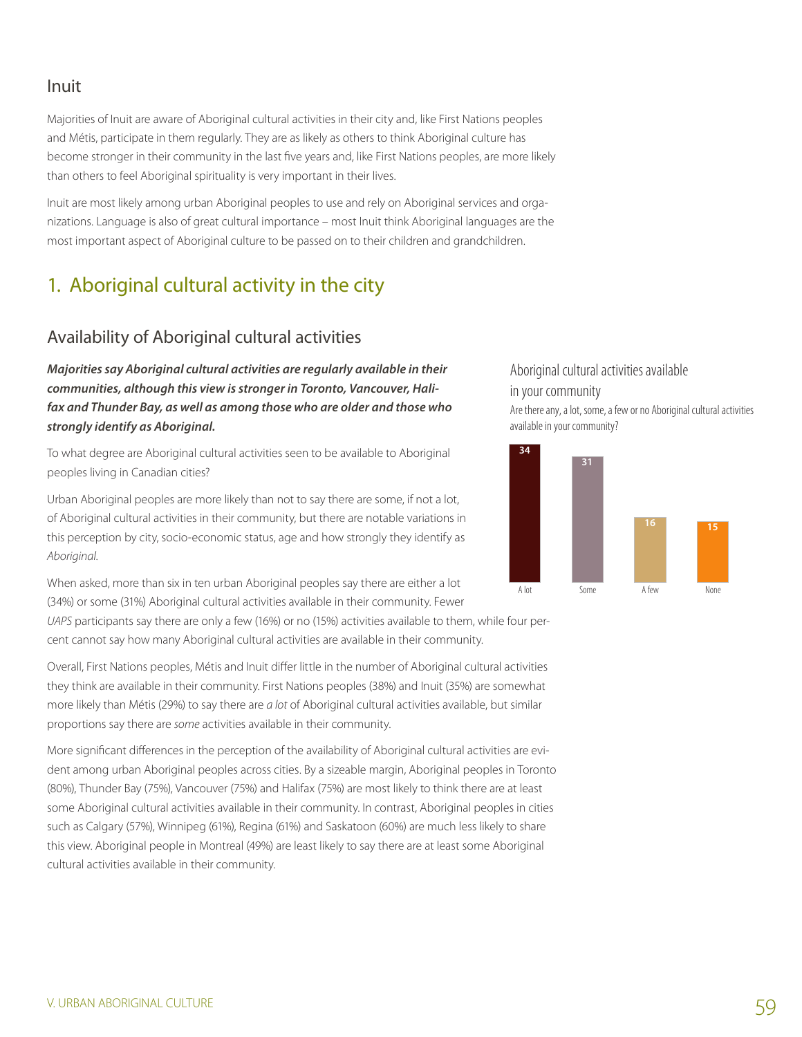### Inuit

Majorities of Inuit are aware of Aboriginal cultural activities in their city and, like First Nations peoples and Métis, participate in them regularly. They are as likely as others to think Aboriginal culture has become stronger in their community in the last five years and, like First Nations peoples, are more likely than others to feel Aboriginal spirituality is very important in their lives.

Inuit are most likely among urban Aboriginal peoples to use and rely on Aboriginal services and organizations. Language is also of great cultural importance – most Inuit think Aboriginal languages are the most important aspect of Aboriginal culture to be passed on to their children and grandchildren.

# 1. Aboriginal cultural activity in the city

# Availability of Aboriginal cultural activities

*Majorities say Aboriginal cultural activities are regularly available in their communities, although this view is stronger in Toronto, Vancouver, Halifax and Thunder Bay, as well as among those who are older and those who strongly identify as Aboriginal.* 

To what degree are Aboriginal cultural activities seen to be available to Aboriginal peoples living in Canadian cities?

Urban Aboriginal peoples are more likely than not to say there are some, if not a lot, of Aboriginal cultural activities in their community, but there are notable variations in this perception by city, socio-economic status, age and how strongly they identify as *Aboriginal*.

When asked, more than six in ten urban Aboriginal peoples say there are either a lot (34%) or some (31%) Aboriginal cultural activities available in their community. Fewer

*UAPS* participants say there are only a few (16%) or no (15%) activities available to them, while four percent cannot say how many Aboriginal cultural activities are available in their community.

Overall, First Nations peoples, Métis and Inuit differ little in the number of Aboriginal cultural activities they think are available in their community. First Nations peoples (38%) and Inuit (35%) are somewhat more likely than Métis (29%) to say there are *a lot* of Aboriginal cultural activities available, but similar proportions say there are *some* activities available in their community.

More significant differences in the perception of the availability of Aboriginal cultural activities are evident among urban Aboriginal peoples across cities. By a sizeable margin, Aboriginal peoples in Toronto (80%), Thunder Bay (75%), Vancouver (75%) and Halifax (75%) are most likely to think there are at least some Aboriginal cultural activities available in their community. In contrast, Aboriginal peoples in cities such as Calgary (57%), Winnipeg (61%), Regina (61%) and Saskatoon (60%) are much less likely to share this view. Aboriginal people in Montreal (49%) are least likely to say there are at least some Aboriginal cultural activities available in their community.

#### Aboriginal cultural activities available in your community

Are there any, a lot, some, a few or no Aboriginal cultural activities available in your community?

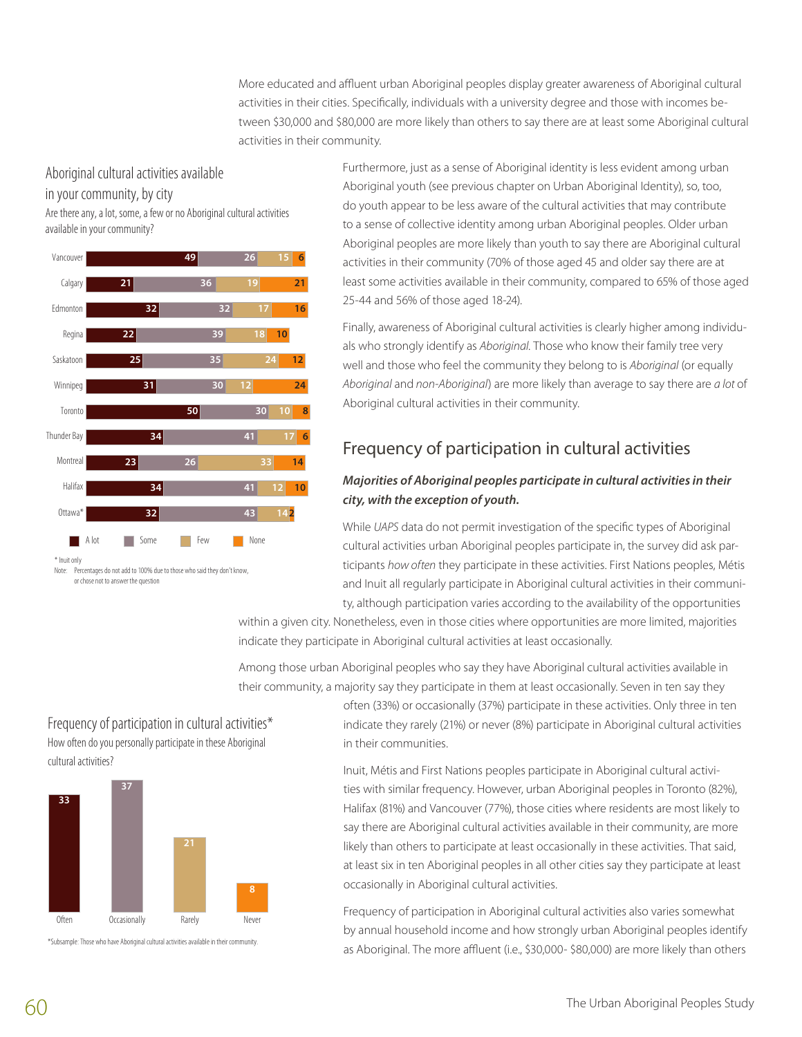More educated and affluent urban Aboriginal peoples display greater awareness of Aboriginal cultural activities in their cities. Specifically, individuals with a university degree and those with incomes between \$30,000 and \$80,000 are more likely than others to say there are at least some Aboriginal cultural activities in their community.

#### Aboriginal cultural activities available

in your community, by city

Are there any, a lot, some, a few or no Aboriginal cultural activities available in your community?



Furthermore, just as a sense of Aboriginal identity is less evident among urban Aboriginal youth (see previous chapter on Urban Aboriginal Identity), so, too, do youth appear to be less aware of the cultural activities that may contribute to a sense of collective identity among urban Aboriginal peoples. Older urban Aboriginal peoples are more likely than youth to say there are Aboriginal cultural activities in their community (70% of those aged 45 and older say there are at least some activities available in their community, compared to 65% of those aged 25-44 and 56% of those aged 18-24).

Finally, awareness of Aboriginal cultural activities is clearly higher among individuals who strongly identify as *Aboriginal*. Those who know their family tree very well and those who feel the community they belong to is *Aboriginal* (or equally *Aboriginal* and *non-Aboriginal*) are more likely than average to say there are *a lot* of Aboriginal cultural activities in their community.

# Frequency of participation in cultural activities

#### *Majorities of Aboriginal peoples participate in cultural activities in their city, with the exception of youth.*

While *UAPS* data do not permit investigation of the specific types of Aboriginal cultural activities urban Aboriginal peoples participate in, the survey did ask participants *how often* they participate in these activities. First Nations peoples, Métis and Inuit all regularly participate in Aboriginal cultural activities in their community, although participation varies according to the availability of the opportunities

within a given city. Nonetheless, even in those cities where opportunities are more limited, majorities indicate they participate in Aboriginal cultural activities at least occasionally.

Among those urban Aboriginal peoples who say they have Aboriginal cultural activities available in their community, a majority say they participate in them at least occasionally. Seven in ten say they

Frequency of participation in cultural activities\* How often do you personally participate in these Aboriginal cultural activities?



\*Subsample: Those who have Aboriginal cultural activities available in their community.

often (33%) or occasionally (37%) participate in these activities. Only three in ten indicate they rarely (21%) or never (8%) participate in Aboriginal cultural activities in their communities.

Inuit, Métis and First Nations peoples participate in Aboriginal cultural activities with similar frequency. However, urban Aboriginal peoples in Toronto (82%), Halifax (81%) and Vancouver (77%), those cities where residents are most likely to say there are Aboriginal cultural activities available in their community, are more likely than others to participate at least occasionally in these activities. That said, at least six in ten Aboriginal peoples in all other cities say they participate at least occasionally in Aboriginal cultural activities.

Frequency of participation in Aboriginal cultural activities also varies somewhat by annual household income and how strongly urban Aboriginal peoples identify as Aboriginal. The more affluent (i.e., \$30,000- \$80,000) are more likely than others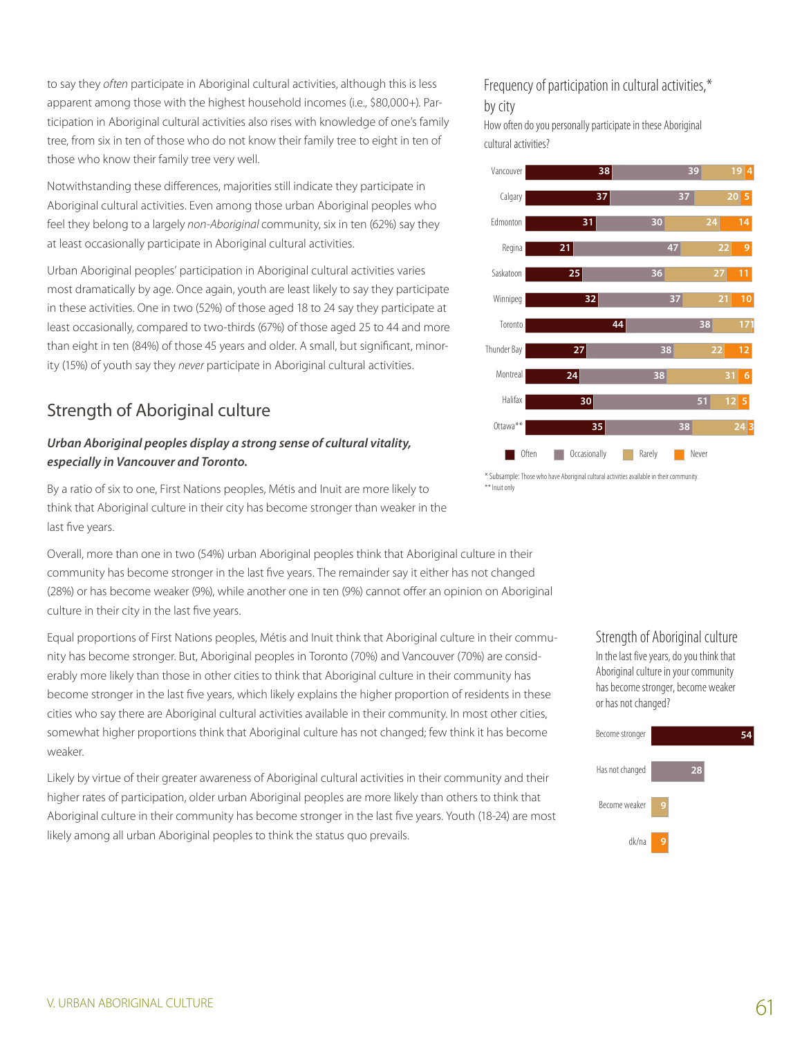to say they *often* participate in Aboriginal cultural activities, although this is less apparent among those with the highest household incomes (i.e., \$80,000+). Participation in Aboriginal cultural activities also rises with knowledge of one's family tree, from six in ten of those who do not know their family tree to eight in ten of those who know their family tree very well.

Notwithstanding these differences, majorities still indicate they participate in Aboriginal cultural activities. Even among those urban Aboriginal peoples who feel they belong to a largely *non-Aboriginal* community, six in ten (62%) say they at least occasionally participate in Aboriginal cultural activities.

Urban Aboriginal peoples' participation in Aboriginal cultural activities varies most dramatically by age. Once again, youth are least likely to say they participate in these activities. One in two (52%) of those aged 18 to 24 say they participate at least occasionally, compared to two-thirds (67%) of those aged 25 to 44 and more than eight in ten (84%) of those 45 years and older. A small, but significant, minority (15%) of youth say they *never* participate in Aboriginal cultural activities.

# Strength of Aboriginal culture

#### *Urban Aboriginal peoples display a strong sense of cultural vitality, especially in Vancouver and Toronto.*

By a ratio of six to one, First Nations peoples, Métis and Inuit are more likely to think that Aboriginal culture in their city has become stronger than weaker in the last five years.

Overall, more than one in two (54%) urban Aboriginal peoples think that Aboriginal culture in their community has become stronger in the last five years. The remainder say it either has not changed (28%) or has become weaker (9%), while another one in ten (9%) cannot offer an opinion on Aboriginal culture in their city in the last five years.

Equal proportions of First Nations peoples, Métis and Inuit think that Aboriginal culture in their community has become stronger. But, Aboriginal peoples in Toronto (70%) and Vancouver (70%) are considerably more likely than those in other cities to think that Aboriginal culture in their community has become stronger in the last five years, which likely explains the higher proportion of residents in these cities who say there are Aboriginal cultural activities available in their community. In most other cities, somewhat higher proportions think that Aboriginal culture has not changed; few think it has become weaker.

Likely by virtue of their greater awareness of Aboriginal cultural activities in their community and their higher rates of participation, older urban Aboriginal peoples are more likely than others to think that Aboriginal culture in their community has become stronger in the last five years. Youth (18-24) are most likely among all urban Aboriginal peoples to think the status quo prevails.

#### Frequency of participation in cultural activities,\* by city

How often do you personally participate in these Aboriginal cultural activities?



\* Subsample:Those who have Aboriginal cultural activities available in their community. \*\* Inuit only

> Strength of Aboriginal culture In the last five years, do you think that Aboriginal culture in your community has become stronger, become weaker or has not changed?

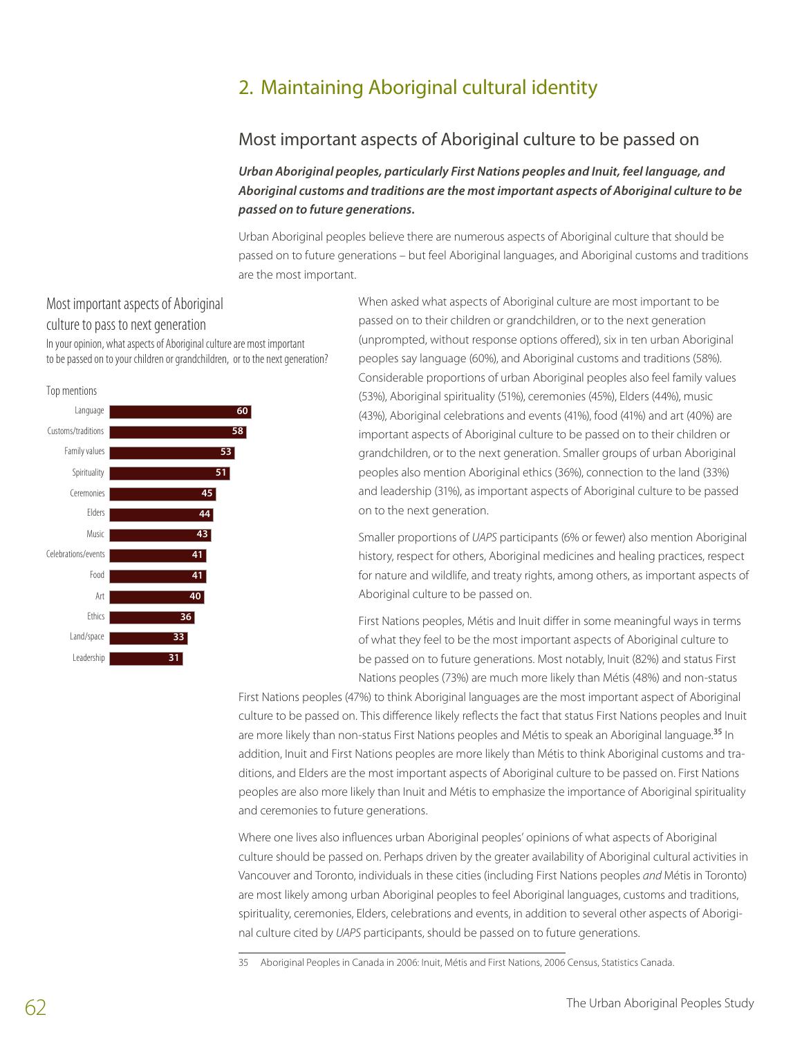# 2. Maintaining Aboriginal cultural identity

### Most important aspects of Aboriginal culture to be passed on

*Urban Aboriginal peoples, particularly First Nations peoples and Inuit, feel language, and Aboriginal customs and traditions are the most important aspects of Aboriginal culture to be passed on to future generations.* 

Urban Aboriginal peoples believe there are numerous aspects of Aboriginal culture that should be passed on to future generations – but feel Aboriginal languages, and Aboriginal customs and traditions are the most important.

# Most important aspects of Aboriginal

culture to pass to next generation In your opinion, what aspects of Aboriginal culture are most important

to be passed on to your children or grandchildren, or to the next generation?



When asked what aspects of Aboriginal culture are most important to be passed on to their children or grandchildren, or to the next generation (unprompted, without response options offered), six in ten urban Aboriginal peoples say language (60%), and Aboriginal customs and traditions (58%). Considerable proportions of urban Aboriginal peoples also feel family values (53%), Aboriginal spirituality (51%), ceremonies (45%), Elders (44%), music (43%), Aboriginal celebrations and events (41%), food (41%) and art (40%) are important aspects of Aboriginal culture to be passed on to their children or grandchildren, or to the next generation. Smaller groups of urban Aboriginal peoples also mention Aboriginal ethics (36%), connection to the land (33%) and leadership (31%), as important aspects of Aboriginal culture to be passed on to the next generation.

Smaller proportions of *UAPS* participants (6% or fewer) also mention Aboriginal history, respect for others, Aboriginal medicines and healing practices, respect for nature and wildlife, and treaty rights, among others, as important aspects of Aboriginal culture to be passed on.

First Nations peoples, Métis and Inuit differ in some meaningful ways in terms of what they feel to be the most important aspects of Aboriginal culture to be passed on to future generations. Most notably, Inuit (82%) and status First Nations peoples (73%) are much more likely than Métis (48%) and non-status

First Nations peoples (47%) to think Aboriginal languages are the most important aspect of Aboriginal culture to be passed on. This difference likely reflects the fact that status First Nations peoples and Inuit are more likely than non-status First Nations peoples and Métis to speak an Aboriginal language.<sup>35</sup> In addition, Inuit and First Nations peoples are more likely than Métis to think Aboriginal customs and traditions, and Elders are the most important aspects of Aboriginal culture to be passed on. First Nations peoples are also more likely than Inuit and Métis to emphasize the importance of Aboriginal spirituality and ceremonies to future generations.

Where one lives also influences urban Aboriginal peoples' opinions of what aspects of Aboriginal culture should be passed on. Perhaps driven by the greater availability of Aboriginal cultural activities in Vancouver and Toronto, individuals in these cities (including First Nations peoples *and* Métis in Toronto) are most likely among urban Aboriginal peoples to feel Aboriginal languages, customs and traditions, spirituality, ceremonies, Elders, celebrations and events, in addition to several other aspects of Aboriginal culture cited by *UAPS* participants, should be passed on to future generations.

<sup>35</sup> Aboriginal Peoples in Canada in 2006: Inuit, Métis and First Nations, 2006 Census, Statistics Canada.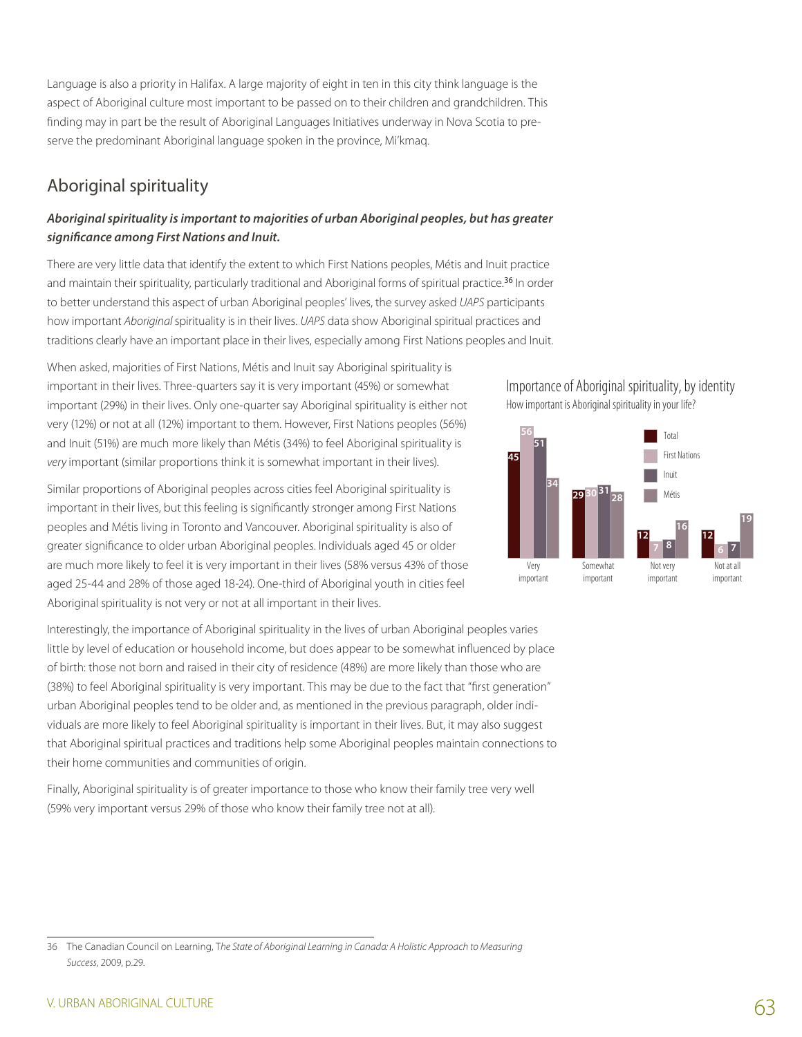Language is also a priority in Halifax. A large majority of eight in ten in this city think language is the aspect of Aboriginal culture most important to be passed on to their children and grandchildren. This finding may in part be the result of Aboriginal Languages Initiatives underway in Nova Scotia to preserve the predominant Aboriginal language spoken in the province, Mi'kmaq.

# Aboriginal spirituality

#### *Aboriginal spirituality is important to majorities of urban Aboriginal peoples, but has greater significance among First Nations and Inuit.*

There are very little data that identify the extent to which First Nations peoples, Métis and Inuit practice and maintain their spirituality, particularly traditional and Aboriginal forms of spiritual practice.<sup>36</sup> In order to better understand this aspect of urban Aboriginal peoples' lives, the survey asked *UAPS* participants how important *Aboriginal*spirituality is in their lives. *UAPS* data show Aboriginal spiritual practices and traditions clearly have an important place in their lives, especially among First Nations peoples and Inuit.

When asked, majorities of First Nations, Métis and Inuit say Aboriginal spirituality is important in their lives. Three-quarters say it is very important (45%) or somewhat important (29%) in their lives. Only one-quarter say Aboriginal spirituality is either not very (12%) or not at all (12%) important to them. However, First Nations peoples (56%) and Inuit (51%) are much more likely than Métis (34%) to feel Aboriginal spirituality is *very* important (similar proportions think it is somewhat important in their lives).

Similar proportions of Aboriginal peoples across cities feel Aboriginal spirituality is important in their lives, but this feeling is significantly stronger among First Nations peoples and Métis living in Toronto and Vancouver. Aboriginal spirituality is also of greater significance to older urban Aboriginal peoples. Individuals aged 45 or older are much more likely to feel it is very important in their lives (58% versus 43% of those aged 25-44 and 28% of those aged 18-24). One-third of Aboriginal youth in cities feel Aboriginal spirituality is not very or not at all important in their lives.

Interestingly, the importance of Aboriginal spirituality in the lives of urban Aboriginal peoples varies little by level of education or household income, but does appear to be somewhat influenced by place of birth: those not born and raised in their city of residence (48%) are more likely than those who are (38%) to feel Aboriginal spirituality is very important. This may be due to the fact that "first generation" urban Aboriginal peoples tend to be older and, as mentioned in the previous paragraph, older individuals are more likely to feel Aboriginal spirituality is important in their lives. But, it may also suggest that Aboriginal spiritual practices and traditions help some Aboriginal peoples maintain connections to their home communities and communities of origin.

Finally, Aboriginal spirituality is of greater importance to those who know their family tree very well (59% very important versus 29% of those who know their family tree not at all).





<sup>36</sup> The Canadian Council on Learning, T*he State of Aboriginal Learning in Canada: A Holistic Approach to Measuring Success*, 2009, p.29.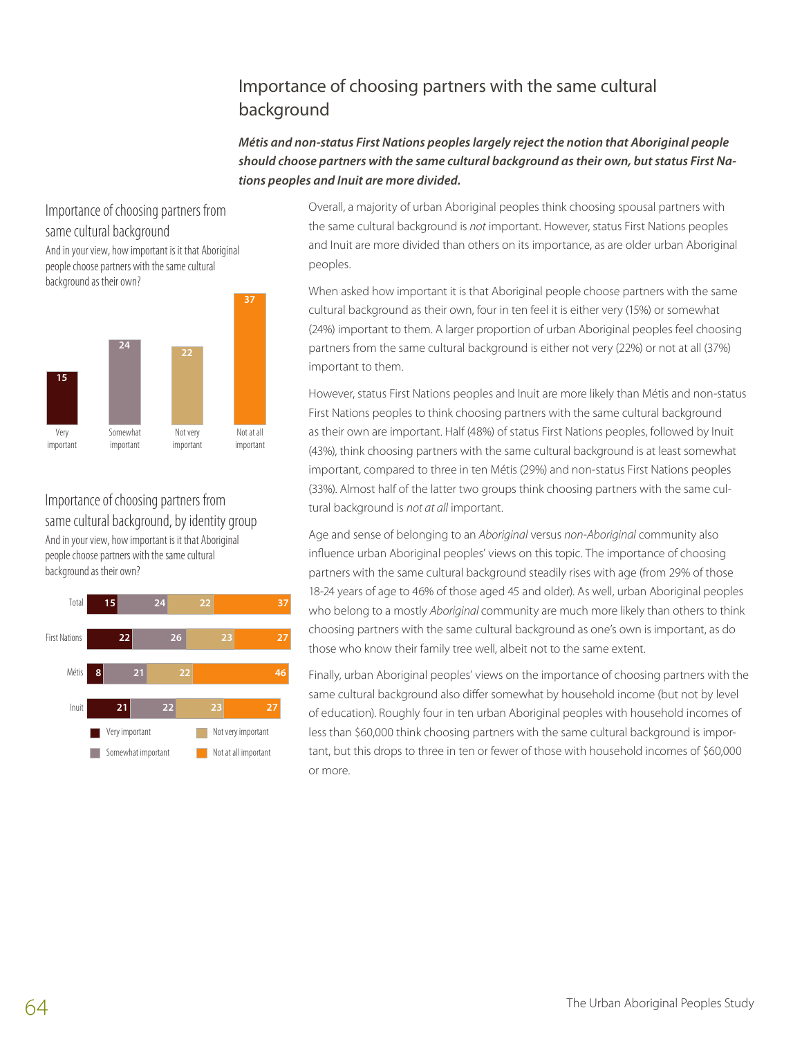# Importance of choosing partners with the same cultural background

*Métis and non-status First Nations peoples largely reject the notion that Aboriginal people should choose partners with the same cultural background as their own, but status First Nations peoples and Inuit are more divided.* 

### Importance of choosing partners from same cultural background

And in your view, how important is it that Aboriginal people choose partners with the same cultural background as their own?



# Importance of choosing partners from same cultural background, by identity group

And in your view, how important is it that Aboriginal people choose partners with the same cultural background as their own?



Overall, a majority of urban Aboriginal peoples think choosing spousal partners with the same cultural background is *not* important. However, status First Nations peoples and Inuit are more divided than others on its importance, as are older urban Aboriginal peoples.

When asked how important it is that Aboriginal people choose partners with the same cultural background as their own, four in ten feel it is either very (15%) or somewhat (24%) important to them. A larger proportion of urban Aboriginal peoples feel choosing partners from the same cultural background is either not very (22%) or not at all (37%) important to them.

However, status First Nations peoples and Inuit are more likely than Métis and non-status First Nations peoples to think choosing partners with the same cultural background as their own are important. Half (48%) of status First Nations peoples, followed by Inuit (43%), think choosing partners with the same cultural background is at least somewhat important, compared to three in ten Métis (29%) and non-status First Nations peoples (33%). Almost half of the latter two groups think choosing partners with the same cultural background is *not at all* important.

Age and sense of belonging to an *Aboriginal* versus *non-Aboriginal* community also influence urban Aboriginal peoples' views on this topic. The importance of choosing partners with the same cultural background steadily rises with age (from 29% of those 18-24 years of age to 46% of those aged 45 and older). As well, urban Aboriginal peoples who belong to a mostly *Aboriginal* community are much more likely than others to think choosing partners with the same cultural background as one's own is important, as do those who know their family tree well, albeit not to the same extent.

Finally, urban Aboriginal peoples' views on the importance of choosing partners with the same cultural background also differ somewhat by household income (but not by level of education). Roughly four in ten urban Aboriginal peoples with household incomes of less than \$60,000 think choosing partners with the same cultural background is important, but this drops to three in ten or fewer of those with household incomes of \$60,000 or more.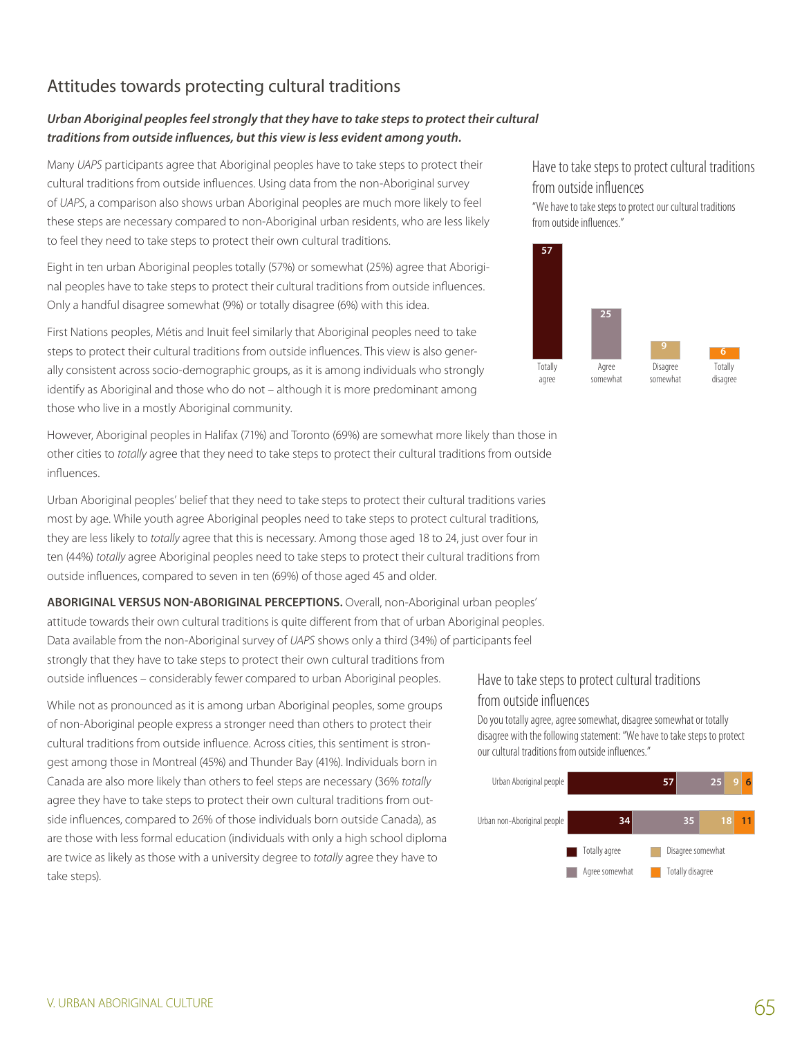# Attitudes towards protecting cultural traditions

#### *Urban Aboriginal peoples feel strongly that they have to take steps to protect their cultural traditions from outside influences, but this view is less evident among youth.*

Many *UAPS* participants agree that Aboriginal peoples have to take steps to protect their cultural traditions from outside influences. Using data from the non-Aboriginal survey of *UAPS*, a comparison also shows urban Aboriginal peoples are much more likely to feel these steps are necessary compared to non-Aboriginal urban residents, who are less likely to feel they need to take steps to protect their own cultural traditions.

Eight in ten urban Aboriginal peoples totally (57%) or somewhat (25%) agree that Aboriginal peoples have to take steps to protect their cultural traditions from outside influences. Only a handful disagree somewhat (9%) or totally disagree (6%) with this idea.

First Nations peoples, Métis and Inuit feel similarly that Aboriginal peoples need to take steps to protect their cultural traditions from outside influences. This view is also generally consistent across socio-demographic groups, as it is among individuals who strongly identify as Aboriginal and those who do not – although it is more predominant among those who live in a mostly Aboriginal community.

However, Aboriginal peoples in Halifax (71%) and Toronto (69%) are somewhat more likely than those in other cities to *totally* agree that they need to take steps to protect their cultural traditions from outside influences.

Urban Aboriginal peoples' belief that they need to take steps to protect their cultural traditions varies most by age. While youth agree Aboriginal peoples need to take steps to protect cultural traditions, they are less likely to *totally* agree that this is necessary. Among those aged 18 to 24, just over four in ten (44%) *totally* agree Aboriginal peoples need to take steps to protect their cultural traditions from outside influences, compared to seven in ten (69%) of those aged 45 and older.

**Aboriginal versus non-Aboriginal perceptions.** Overall, non-Aboriginal urban peoples' attitude towards their own cultural traditions is quite different from that of urban Aboriginal peoples. Data available from the non-Aboriginal survey of *UAPS* shows only a third (34%) of participants feel strongly that they have to take steps to protect their own cultural traditions from outside influences – considerably fewer compared to urban Aboriginal peoples.

While not as pronounced as it is among urban Aboriginal peoples, some groups of non-Aboriginal people express a stronger need than others to protect their cultural traditions from outside influence. Across cities, this sentiment is strongest among those in Montreal (45%) and Thunder Bay (41%). Individuals born in Canada are also more likely than others to feel steps are necessary (36% *totally* agree they have to take steps to protect their own cultural traditions from outside influences, compared to 26% of those individuals born outside Canada), as are those with less formal education (individuals with only a high school diploma are twice as likely as those with a university degree to *totally* agree they have to take steps).

Have to take steps to protect cultural traditions from outside influences

"We have to take steps to protect our cultural traditions from outside influences."



### Have to take steps to protect cultural traditions from outside influences

Do you totally agree, agree somewhat, disagree somewhat or totally disagree with the following statement: "We have to take steps to protect our cultural traditions from outside influences."

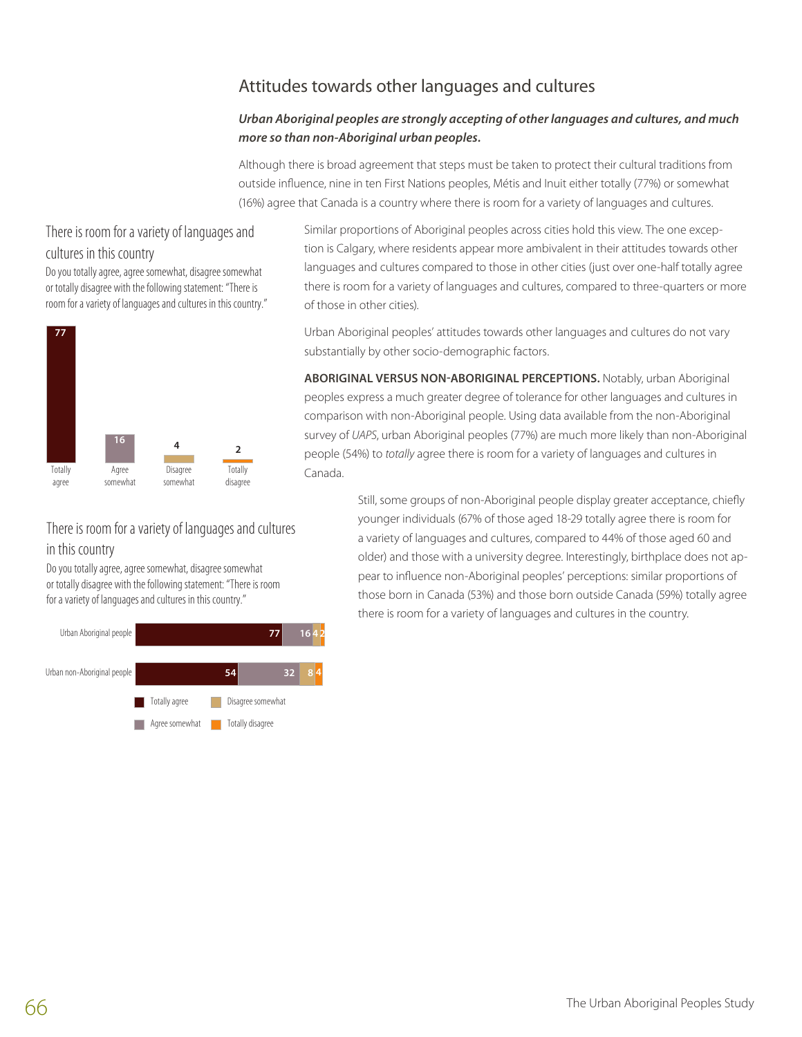# Attitudes towards other languages and cultures

#### *Urban Aboriginal peoples are strongly accepting of other languages and cultures, and much more so than non-Aboriginal urban peoples.*

Although there is broad agreement that steps must be taken to protect their cultural traditions from outside influence, nine in ten First Nations peoples, Métis and Inuit either totally (77%) or somewhat (16%) agree that Canada is a country where there is room for a variety of languages and cultures.

#### There is room for a variety of languages and cultures in this country

Do you totally agree, agree somewhat, disagree somewhat or totally disagree with the following statement: "There is room for a variety of languages and cultures in this country."



# There is room for a variety of languages and cultures in this country

Do you totally agree, agree somewhat, disagree somewhat or totally disagree with the following statement: "There is room for a variety of languages and cultures in this country."



Similar proportions of Aboriginal peoples across cities hold this view. The one exception is Calgary, where residents appear more ambivalent in their attitudes towards other languages and cultures compared to those in other cities (just over one-half totally agree there is room for a variety of languages and cultures, compared to three-quarters or more of those in other cities).

Urban Aboriginal peoples' attitudes towards other languages and cultures do not vary substantially by other socio-demographic factors.

**Aboriginal versus non-Aboriginal perceptions.** Notably, urban Aboriginal peoples express a much greater degree of tolerance for other languages and cultures in comparison with non-Aboriginal people. Using data available from the non-Aboriginal survey of *UAPS*, urban Aboriginal peoples (77%) are much more likely than non-Aboriginal people (54%) to *totally* agree there is room for a variety of languages and cultures in Canada.

> Still, some groups of non-Aboriginal people display greater acceptance, chiefly younger individuals (67% of those aged 18-29 totally agree there is room for a variety of languages and cultures, compared to 44% of those aged 60 and older) and those with a university degree. Interestingly, birthplace does not appear to influence non-Aboriginal peoples' perceptions: similar proportions of those born in Canada (53%) and those born outside Canada (59%) totally agree there is room for a variety of languages and cultures in the country.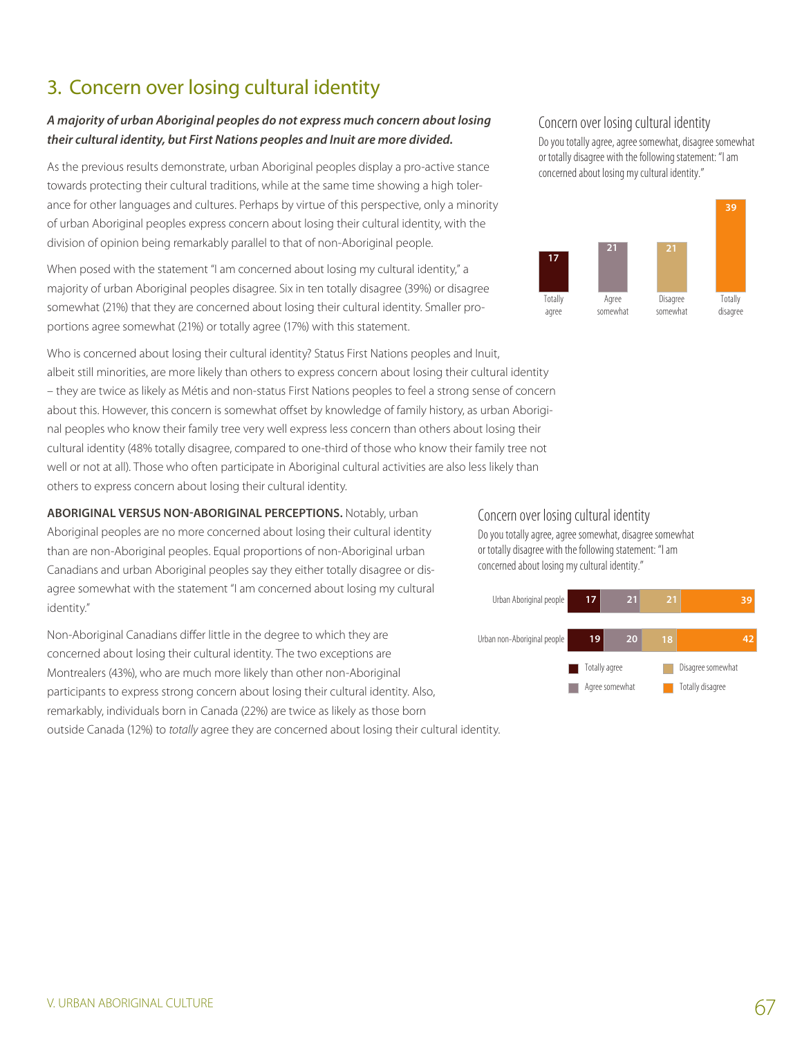# 3. Concern over losing cultural identity

#### *A majority of urban Aboriginal peoples do not express much concern about losing their cultural identity, but First Nations peoples and Inuit are more divided.*

As the previous results demonstrate, urban Aboriginal peoples display a pro-active stance towards protecting their cultural traditions, while at the same time showing a high tolerance for other languages and cultures. Perhaps by virtue of this perspective, only a minority of urban Aboriginal peoples express concern about losing their cultural identity, with the division of opinion being remarkably parallel to that of non-Aboriginal people.

When posed with the statement "I am concerned about losing my cultural identity," a majority of urban Aboriginal peoples disagree. Six in ten totally disagree (39%) or disagree somewhat (21%) that they are concerned about losing their cultural identity. Smaller proportions agree somewhat (21%) or totally agree (17%) with this statement.

Who is concerned about losing their cultural identity? Status First Nations peoples and Inuit, albeit still minorities, are more likely than others to express concern about losing their cultural identity – they are twice as likely as Métis and non-status First Nations peoples to feel a strong sense of concern about this. However, this concern is somewhat offset by knowledge of family history, as urban Aboriginal peoples who know their family tree very well express less concern than others about losing their cultural identity (48% totally disagree, compared to one-third of those who know their family tree not well or not at all). Those who often participate in Aboriginal cultural activities are also less likely than others to express concern about losing their cultural identity.

#### **Aboriginal versus non-Aboriginal perceptions.** Notably, urban

Aboriginal peoples are no more concerned about losing their cultural identity than are non-Aboriginal peoples. Equal proportions of non-Aboriginal urban Canadians and urban Aboriginal peoples say they either totally disagree or disagree somewhat with the statement "I am concerned about losing my cultural identity."

Non-Aboriginal Canadians differ little in the degree to which they are concerned about losing their cultural identity. The two exceptions are Montrealers (43%), who are much more likely than other non-Aboriginal participants to express strong concern about losing their cultural identity. Also, remarkably, individuals born in Canada (22%) are twice as likely as those born outside Canada (12%) to *totally* agree they are concerned about losing their cultural identity.

#### Concern over losing cultural identity

Do you totally agree, agree somewhat, disagree somewhat or totally disagree with the following statement: "I am concerned about losing my cultural identity."



#### Concern over losing cultural identity

Do you totally agree, agree somewhat, disagree somewhat or totally disagree with the following statement: "I am concerned about losing my cultural identity."

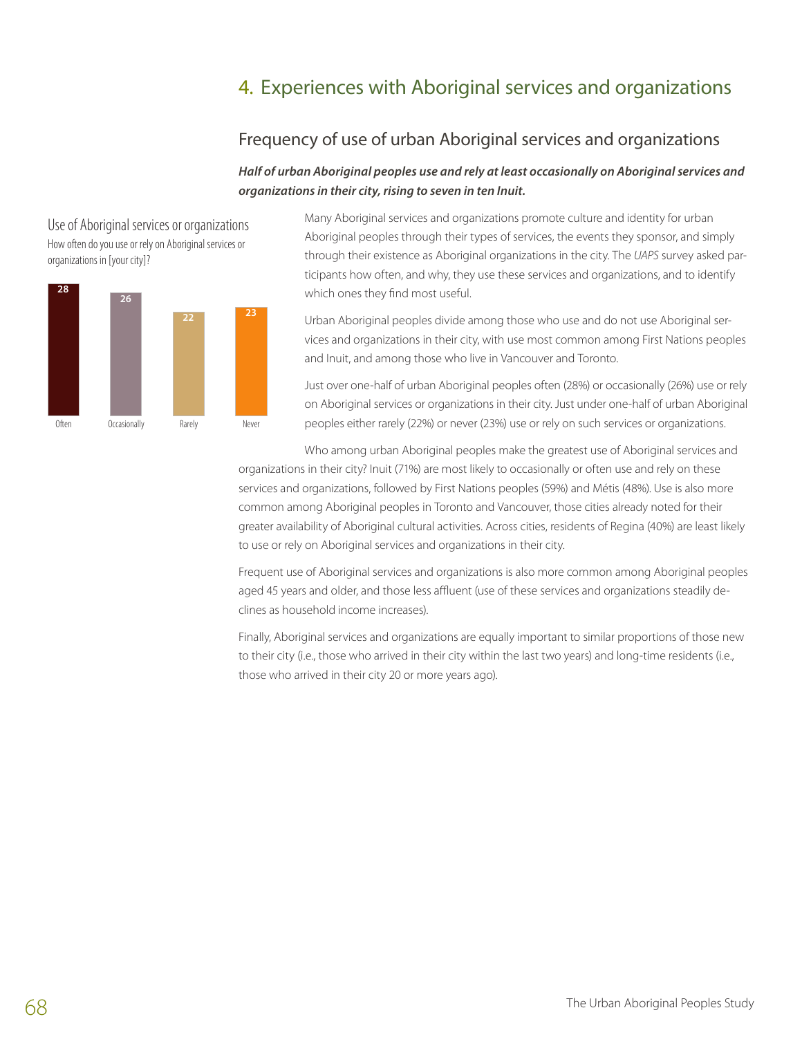# 4. Experiences with Aboriginal services and organizations

## Frequency of use of urban Aboriginal services and organizations

#### *Half of urban Aboriginal peoples use and rely at least occasionally on Aboriginal services and organizations in their city, rising to seven in ten Inuit.*



Use of Aboriginal services or organizations How often do you use or rely on Aboriginal services or

Many Aboriginal services and organizations promote culture and identity for urban B5 Aboriginal peoples through their types of services, the events they sponsor, and simply through their existence as Aboriginal organizations in the city. The *UAPS* survey asked participants how often, and why, they use these services and organizations, and to identify which ones they find most useful.

Urban Aboriginal peoples divide among those who use and do not use Aboriginal services and organizations in their city, with use most common among First Nations peoples and Inuit, and among those who live in Vancouver and Toronto.

Just over one-half of urban Aboriginal peoples often (28%) or occasionally (26%) use or rely on Aboriginal services or organizations in their city. Just under one-half of urban Aboriginal peoples either rarely (22%) or never (23%) use or rely on such services or organizations.

Who among urban Aboriginal peoples make the greatest use of Aboriginal services and organizations in their city? Inuit (71%) are most likely to occasionally or often use and rely on these services and organizations, followed by First Nations peoples (59%) and Métis (48%). Use is also more common among Aboriginal peoples in Toronto and Vancouver, those cities already noted for their greater availability of Aboriginal cultural activities. Across cities, residents of Regina (40%) are least likely to use or rely on Aboriginal services and organizations in their city.

Frequent use of Aboriginal services and organizations is also more common among Aboriginal peoples aged 45 years and older, and those less affluent (use of these services and organizations steadily declines as household income increases).

Finally, Aboriginal services and organizations are equally important to similar proportions of those new to their city (i.e., those who arrived in their city within the last two years) and long-time residents (i.e., those who arrived in their city 20 or more years ago).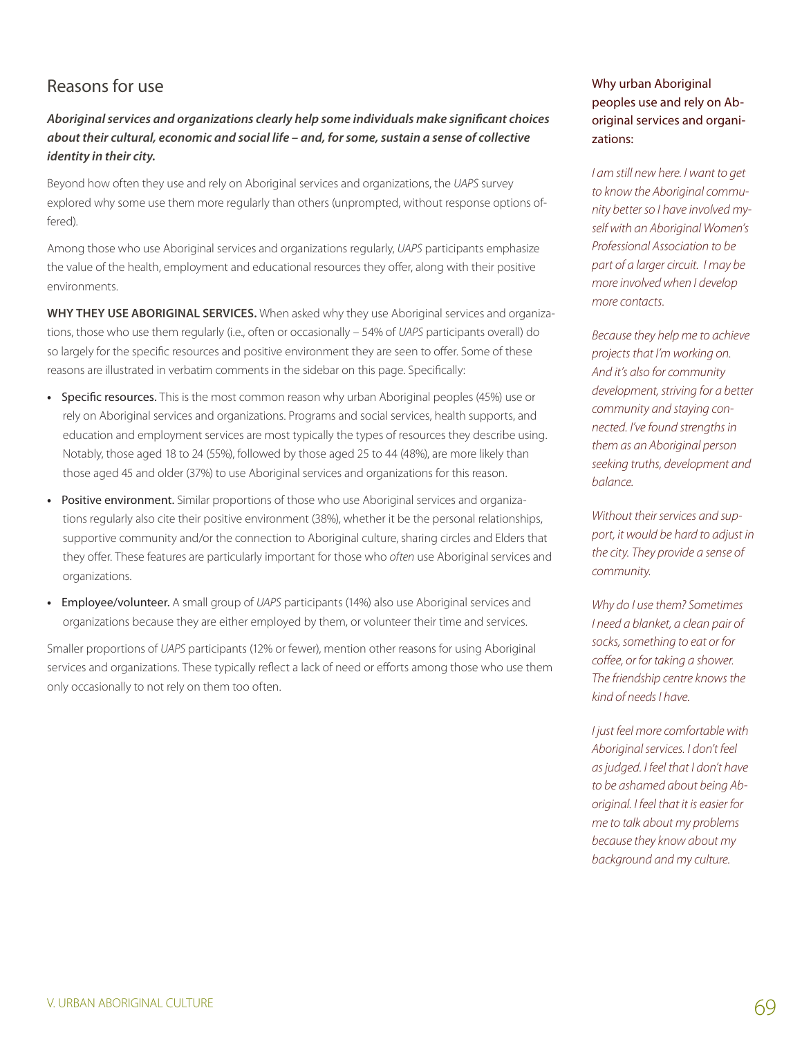# Reasons for use

*Aboriginal services and organizations clearly help some individuals make significant choices about their cultural, economic and social life – and, for some, sustain a sense of collective identity in their city.*

Beyond how often they use and rely on Aboriginal services and organizations, the *UAPS* survey explored why some use them more regularly than others (unprompted, without response options offered).

Among those who use Aboriginal services and organizations regularly, *UAPS* participants emphasize the value of the health, employment and educational resources they offer, along with their positive environments.

**Why they use aboriginal services.** When asked why they use Aboriginal services and organizations, those who use them regularly (i.e., often or occasionally – 54% of *UAPS* participants overall) do so largely for the specific resources and positive environment they are seen to offer. Some of these reasons are illustrated in verbatim comments in the sidebar on this page. Specifically:

- Specific resources. This is the most common reason why urban Aboriginal peoples (45%) use or rely on Aboriginal services and organizations. Programs and social services, health supports, and education and employment services are most typically the types of resources they describe using. Notably, those aged 18 to 24 (55%), followed by those aged 25 to 44 (48%), are more likely than those aged 45 and older (37%) to use Aboriginal services and organizations for this reason.
- Positive environment. Similar proportions of those who use Aboriginal services and organizations regularly also cite their positive environment (38%), whether it be the personal relationships, supportive community and/or the connection to Aboriginal culture, sharing circles and Elders that they offer. These features are particularly important for those who *often* use Aboriginal services and organizations.
- **•**  Employee/volunteer. A small group of *UAPS* participants (14%) also use Aboriginal services and organizations because they are either employed by them, or volunteer their time and services.

Smaller proportions of *UAPS* participants (12% or fewer), mention other reasons for using Aboriginal services and organizations. These typically reflect a lack of need or efforts among those who use them only occasionally to not rely on them too often.

#### Why urban Aboriginal peoples use and rely on Aboriginal services and organizations:

*I am still new here. I want to get to know the Aboriginal community better so I have involved myself with an Aboriginal Women's Professional Association to be part of a larger circuit. I may be more involved when I develop more contacts.*

*Because they help me to achieve projects that I'm working on. And it's also for community development, striving for a better community and staying connected. I've found strengths in them as an Aboriginal person seeking truths, development and balance.* 

*Without their services and support, it would be hard to adjust in the city. They provide a sense of community.* 

*Why do I use them? Sometimes I need a blanket, a clean pair of socks, something to eat or for coffee, or for taking a shower. The friendship centre knows the kind of needs I have.*

*I just feel more comfortable with Aboriginal services. I don't feel as judged. I feel that I don't have to be ashamed about being Aboriginal. I feel that it is easier for me to talk about my problems because they know about my background and my culture.*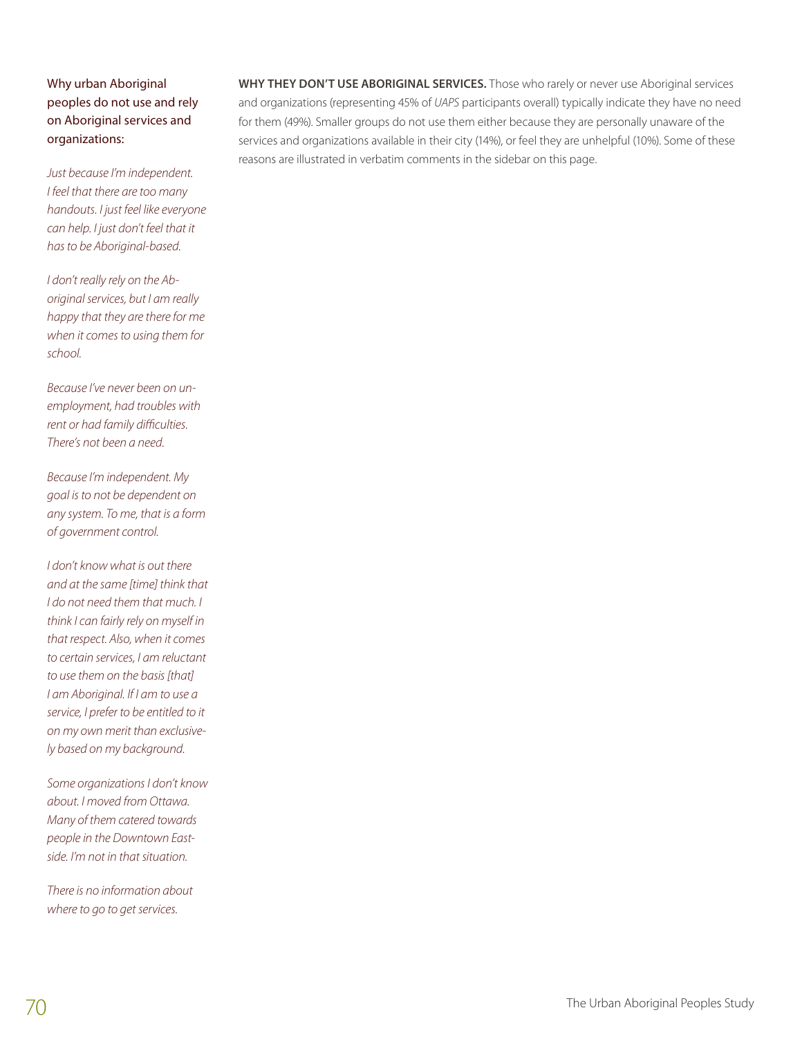Why urban Aboriginal peoples do not use and rely on Aboriginal services and organizations:

*Just because I'm independent. I feel that there are too many handouts. I just feel like everyone can help. I just don't feel that it has to be Aboriginal-based.* 

*I don't really rely on the Aboriginal services, but I am really happy that they are there for me when it comes to using them for school.* 

*Because I've never been on unemployment, had troubles with rent or had family difficulties. There's not been a need.*

*Because I'm independent. My goal is to not be dependent on any system. To me, that is a form of government control.*

*I don't know what is out there and at the same [time] think that I do not need them that much. I think I can fairly rely on myself in that respect. Also, when it comes to certain services, I am reluctant to use them on the basis [that] I am Aboriginal. If I am to use a service, I prefer to be entitled to it on my own merit than exclusively based on my background.*

*Some organizations I don't know about. I moved from Ottawa. Many of them catered towards people in the Downtown Eastside. I'm not in that situation.*

*There is no information about where to go to get services.*

**Why they don't use aboriginal services.** Those who rarely or never use Aboriginal services and organizations (representing 45% of *UAPS* participants overall) typically indicate they have no need for them (49%). Smaller groups do not use them either because they are personally unaware of the services and organizations available in their city (14%), or feel they are unhelpful (10%). Some of these reasons are illustrated in verbatim comments in the sidebar on this page.